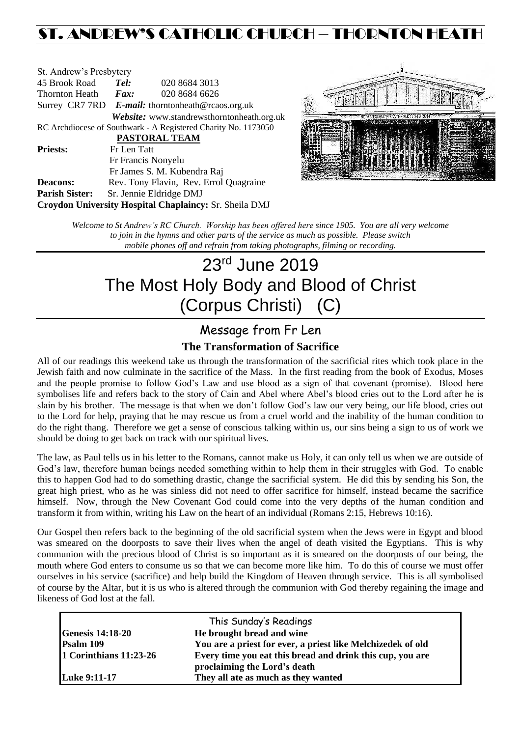# ST. ANDREW'S CATHOLIC CHURCH – THORNTON HEAT

| St. Andrew's Presbytery                                        |                                                      |                                            |  |  |  |
|----------------------------------------------------------------|------------------------------------------------------|--------------------------------------------|--|--|--|
| 45 Brook Road                                                  | Tel:                                                 | 020 8684 3013                              |  |  |  |
| Thornton Heath                                                 | $\boldsymbol{Fax:}$                                  | 020 8684 6626                              |  |  |  |
|                                                                | Surrey CR7 7RD $E$ -mail: thorntonheath@rcaos.org.uk |                                            |  |  |  |
|                                                                |                                                      | Website: www.standrewsthorntonheath.org.uk |  |  |  |
| RC Archdiocese of Southwark - A Registered Charity No. 1173050 |                                                      |                                            |  |  |  |
| PASTORAL TEAM                                                  |                                                      |                                            |  |  |  |
| <b>Priests:</b>                                                | Fr Len Tatt                                          |                                            |  |  |  |
|                                                                |                                                      | Fr Francis Nonyelu                         |  |  |  |
|                                                                |                                                      | Fr James S. M. Kubendra Raj                |  |  |  |
| <b>Deacons:</b>                                                |                                                      | Rev. Tony Flavin, Rev. Errol Quagraine     |  |  |  |
| <b>Parish Sister:</b>                                          |                                                      | Sr. Jennie Eldridge DMJ                    |  |  |  |
| Croydon University Hospital Chaplaincy: Sr. Sheila DMJ         |                                                      |                                            |  |  |  |



*Welcome to St Andrew's RC Church. Worship has been offered here since 1905. You are all very welcome to join in the hymns and other parts of the service as much as possible. Please switch mobile phones off and refrain from taking photographs, filming or recording.*

# 23 rd June 2019 The Most Holy Body and Blood of Christ (Corpus Christi) (C)

# Message from Fr Len

### **The Transformation of Sacrifice**

All of our readings this weekend take us through the transformation of the sacrificial rites which took place in the Jewish faith and now culminate in the sacrifice of the Mass. In the first reading from the book of Exodus, Moses and the people promise to follow God's Law and use blood as a sign of that covenant (promise). Blood here symbolises life and refers back to the story of Cain and Abel where Abel's blood cries out to the Lord after he is slain by his brother. The message is that when we don't follow God's law our very being, our life blood, cries out to the Lord for help, praying that he may rescue us from a cruel world and the inability of the human condition to do the right thang. Therefore we get a sense of conscious talking within us, our sins being a sign to us of work we should be doing to get back on track with our spiritual lives.

The law, as Paul tells us in his letter to the Romans, cannot make us Holy, it can only tell us when we are outside of God's law, therefore human beings needed something within to help them in their struggles with God. To enable this to happen God had to do something drastic, change the sacrificial system. He did this by sending his Son, the great high priest, who as he was sinless did not need to offer sacrifice for himself, instead became the sacrifice himself. Now, through the New Covenant God could come into the very depths of the human condition and transform it from within, writing his Law on the heart of an individual (Romans 2:15, Hebrews 10:16).

Our Gospel then refers back to the beginning of the old sacrificial system when the Jews were in Egypt and blood was smeared on the doorposts to save their lives when the angel of death visited the Egyptians. This is why communion with the precious blood of Christ is so important as it is smeared on the doorposts of our being, the mouth where God enters to consume us so that we can become more like him. To do this of course we must offer ourselves in his service (sacrifice) and help build the Kingdom of Heaven through service. This is all symbolised of course by the Altar, but it is us who is altered through the communion with God thereby regaining the image and likeness of God lost at the fall.

|                         | This Sunday's Readings                                      |
|-------------------------|-------------------------------------------------------------|
| <b>Genesis 14:18-20</b> | He brought bread and wine                                   |
| Psalm 109               | You are a priest for ever, a priest like Melchizedek of old |
| 1 Corinthians 11:23-26  | Every time you eat this bread and drink this cup, you are   |
|                         | proclaiming the Lord's death                                |
| <b>Luke 9:11-17</b>     | They all ate as much as they wanted                         |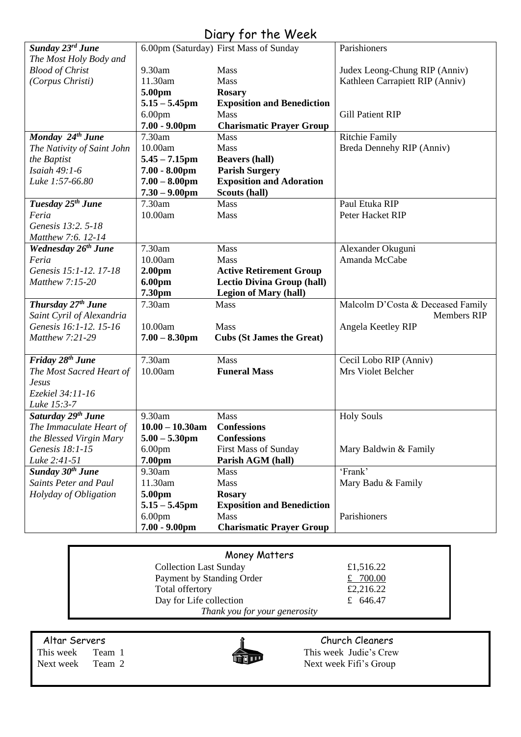# Diary for the Week

|                                 |                    | $5.01$ , $7.1$ , $1.1$ , $1.1$ , $1.1$ , $1.0$ |                                   |
|---------------------------------|--------------------|------------------------------------------------|-----------------------------------|
| Sunday 23rd June                |                    | 6.00pm (Saturday) First Mass of Sunday         | Parishioners                      |
| The Most Holy Body and          |                    |                                                |                                   |
| <b>Blood of Christ</b>          | 9.30am             | Mass                                           | Judex Leong-Chung RIP (Anniv)     |
| (Corpus Christi)                | 11.30am            | Mass                                           | Kathleen Carrapiett RIP (Anniv)   |
|                                 | 5.00pm             | <b>Rosary</b>                                  |                                   |
|                                 | $5.15 - 5.45$ pm   | <b>Exposition and Benediction</b>              |                                   |
|                                 | 6.00 <sub>pm</sub> | Mass                                           | <b>Gill Patient RIP</b>           |
|                                 | $7.00 - 9.00$ pm   | <b>Charismatic Prayer Group</b>                |                                   |
| Monday 24 <sup>th</sup> June    | 7.30am             | <b>Mass</b>                                    | <b>Ritchie Family</b>             |
| The Nativity of Saint John      | 10.00am            | Mass                                           | Breda Dennehy RIP (Anniv)         |
| the Baptist                     | $5.45 - 7.15$ pm   | <b>Beavers (hall)</b>                          |                                   |
| Isaiah 49:1-6                   | $7.00 - 8.00$ pm   | <b>Parish Surgery</b>                          |                                   |
| Luke 1:57-66.80                 | $7.00 - 8.00$ pm   | <b>Exposition and Adoration</b>                |                                   |
|                                 | $7.30 - 9.00$ pm   | Scouts (hall)                                  |                                   |
| Tuesday 25 <sup>th</sup> June   | 7.30am             | Mass                                           | Paul Etuka RIP                    |
| Feria                           | 10.00am            | Mass                                           | Peter Hacket RIP                  |
| Genesis 13:2. 5-18              |                    |                                                |                                   |
| Matthew 7:6. 12-14              |                    |                                                |                                   |
| Wednesday 26 <sup>th</sup> June | 7.30am             | Mass                                           | Alexander Okuguni                 |
| Feria                           | 10.00am            | Mass                                           | Amanda McCabe                     |
| Genesis 15:1-12. 17-18          | 2.00 <sub>pm</sub> | <b>Active Retirement Group</b>                 |                                   |
| Matthew 7:15-20                 | 6.00pm             | <b>Lectio Divina Group (hall)</b>              |                                   |
|                                 | 7.30pm             | <b>Legion of Mary (hall)</b>                   |                                   |
| Thursday 27 <sup>th</sup> June  | 7.30am             | Mass                                           | Malcolm D'Costa & Deceased Family |
| Saint Cyril of Alexandria       |                    |                                                | Members RIP                       |
| Genesis 16:1-12. 15-16          | 10.00am            | Mass                                           | Angela Keetley RIP                |
| Matthew 7:21-29                 | $7.00 - 8.30$ pm   | <b>Cubs (St James the Great)</b>               |                                   |
|                                 |                    |                                                |                                   |
| Friday 28 <sup>th</sup> June    | 7.30am             | Mass                                           | Cecil Lobo RIP (Anniv)            |
| The Most Sacred Heart of        | 10.00am            | <b>Funeral Mass</b>                            | Mrs Violet Belcher                |
| <b>Jesus</b>                    |                    |                                                |                                   |
| Ezekiel 34:11-16                |                    |                                                |                                   |
| Luke 15:3-7                     |                    |                                                |                                   |
| Saturday 29 <sup>th</sup> June  | 9.30am             | Mass                                           | <b>Holy Souls</b>                 |
| The Immaculate Heart of         | $10.00 - 10.30$ am | <b>Confessions</b>                             |                                   |
| the Blessed Virgin Mary         | $5.00 - 5.30$ pm   | <b>Confessions</b>                             |                                   |
| Genesis 18:1-15                 | 6.00 <sub>pm</sub> | <b>First Mass of Sunday</b>                    | Mary Baldwin & Family             |
| Luke 2:41-51                    | 7.00pm             | Parish AGM (hall)                              |                                   |
| Sunday 30 <sup>th</sup> June    | 9.30am             | Mass                                           | 'Frank'                           |
| <b>Saints Peter and Paul</b>    |                    |                                                |                                   |
|                                 | 11.30am            | Mass                                           | Mary Badu & Family                |
| Holyday of Obligation           | 5.00pm             | <b>Rosary</b>                                  |                                   |
|                                 | $5.15 - 5.45$ pm   | <b>Exposition and Benediction</b>              |                                   |
|                                 | 6.00 <sub>pm</sub> | <b>Mass</b>                                    | Parishioners                      |
|                                 | $7.00 - 9.00$ pm   | <b>Charismatic Prayer Group</b>                |                                   |

| Money Matters                 |            |
|-------------------------------|------------|
| <b>Collection Last Sunday</b> | £1,516.22  |
| Payment by Standing Order     | £ $700.00$ |
| Total offertory               | £2,216.22  |
| Day for Life collection       | £ 646.47   |
| Thank you for your generosity |            |

Altar Servers Church Cleaners



This week Team 1 This week Judie's Crew<br>Next week Team 2 Next week Fifi's Group Next week Team 2 Next week Fifi's Group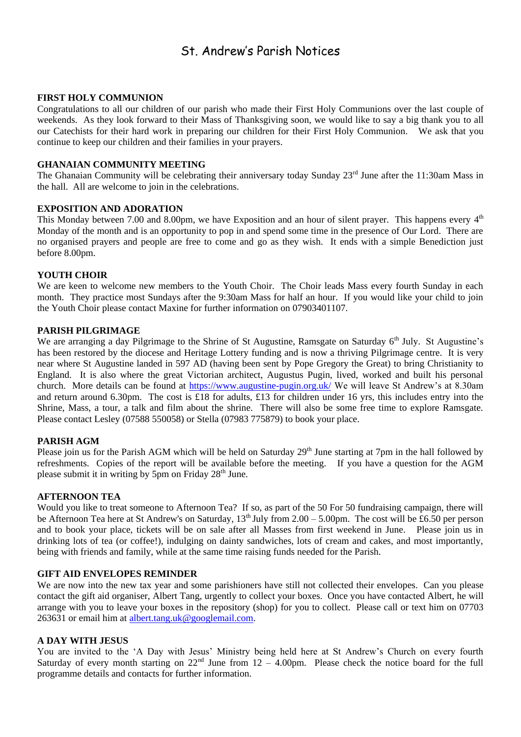### St. Andrew's Parish Notices

#### **FIRST HOLY COMMUNION**

Congratulations to all our children of our parish who made their First Holy Communions over the last couple of weekends. As they look forward to their Mass of Thanksgiving soon, we would like to say a big thank you to all our Catechists for their hard work in preparing our children for their First Holy Communion. We ask that you continue to keep our children and their families in your prayers.

#### **GHANAIAN COMMUNITY MEETING**

The Ghanaian Community will be celebrating their anniversary today Sunday 23<sup>rd</sup> June after the 11:30am Mass in the hall. All are welcome to join in the celebrations.

#### **EXPOSITION AND ADORATION**

This Monday between 7.00 and 8.00pm, we have Exposition and an hour of silent prayer. This happens every  $4<sup>th</sup>$ Monday of the month and is an opportunity to pop in and spend some time in the presence of Our Lord. There are no organised prayers and people are free to come and go as they wish. It ends with a simple Benediction just before 8.00pm.

#### **YOUTH CHOIR**

We are keen to welcome new members to the Youth Choir. The Choir leads Mass every fourth Sunday in each month. They practice most Sundays after the 9:30am Mass for half an hour. If you would like your child to join the Youth Choir please contact Maxine for further information on 07903401107.

#### **PARISH PILGRIMAGE**

We are arranging a day Pilgrimage to the Shrine of St Augustine, Ramsgate on Saturday 6<sup>th</sup> July. St Augustine's has been restored by the diocese and Heritage Lottery funding and is now a thriving Pilgrimage centre. It is very near where St Augustine landed in 597 AD (having been sent by Pope Gregory the Great) to bring Christianity to England. It is also where the great Victorian architect, Augustus Pugin, lived, worked and built his personal church. More details can be found at<https://www.augustine-pugin.org.uk/> We will leave St Andrew's at 8.30am and return around 6.30pm. The cost is £18 for adults, £13 for children under 16 yrs, this includes entry into the Shrine, Mass, a tour, a talk and film about the shrine. There will also be some free time to explore Ramsgate. Please contact Lesley (07588 550058) or Stella (07983 775879) to book your place.

#### **PARISH AGM**

Please join us for the Parish AGM which will be held on Saturday 29<sup>th</sup> June starting at 7pm in the hall followed by refreshments. Copies of the report will be available before the meeting. If you have a question for the AGM please submit it in writing by  $5<sub>pm</sub>$  on Friday 28<sup>th</sup> June.

#### **AFTERNOON TEA**

Would you like to treat someone to Afternoon Tea? If so, as part of the 50 For 50 fundraising campaign, there will be Afternoon Tea here at St Andrew's on Saturday,  $13<sup>th</sup>$  July from  $2.00 - 5.00$  pm. The cost will be £6.50 per person and to book your place, tickets will be on sale after all Masses from first weekend in June. Please join us in drinking lots of tea (or coffee!), indulging on dainty sandwiches, lots of cream and cakes, and most importantly, being with friends and family, while at the same time raising funds needed for the Parish.

#### **GIFT AID ENVELOPES REMINDER**

We are now into the new tax year and some parishioners have still not collected their envelopes. Can you please contact the gift aid organiser, Albert Tang, urgently to collect your boxes. Once you have contacted Albert, he will arrange with you to leave your boxes in the repository (shop) for you to collect. Please call or text him on 07703 263631 or email him at [albert.tang.uk@googlemail.com.](mailto:albert.tang.uk@googlemail.com)

#### **A DAY WITH JESUS**

You are invited to the 'A Day with Jesus' Ministry being held here at St Andrew's Church on every fourth Saturday of every month starting on  $22<sup>nd</sup>$  June from  $12 - 4.00$ pm. Please check the notice board for the full programme details and contacts for further information.